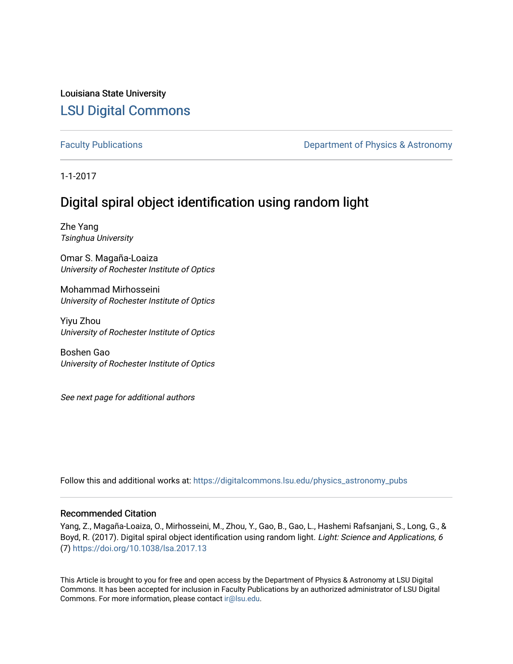Louisiana State University [LSU Digital Commons](https://digitalcommons.lsu.edu/)

[Faculty Publications](https://digitalcommons.lsu.edu/physics_astronomy_pubs) **Exercise 2 and Table 2 and Table 2 and Table 2 and Table 2 and Table 2 and Table 2 and Table 2 and Table 2 and Table 2 and Table 2 and Table 2 and Table 2 and Table 2 and Table 2 and Table 2 and Table** 

1-1-2017

# Digital spiral object identification using random light

Zhe Yang Tsinghua University

Omar S. Magaña-Loaiza University of Rochester Institute of Optics

Mohammad Mirhosseini University of Rochester Institute of Optics

Yiyu Zhou University of Rochester Institute of Optics

Boshen Gao University of Rochester Institute of Optics

See next page for additional authors

Follow this and additional works at: [https://digitalcommons.lsu.edu/physics\\_astronomy\\_pubs](https://digitalcommons.lsu.edu/physics_astronomy_pubs?utm_source=digitalcommons.lsu.edu%2Fphysics_astronomy_pubs%2F2992&utm_medium=PDF&utm_campaign=PDFCoverPages) 

## Recommended Citation

Yang, Z., Magaña-Loaiza, O., Mirhosseini, M., Zhou, Y., Gao, B., Gao, L., Hashemi Rafsanjani, S., Long, G., & Boyd, R. (2017). Digital spiral object identification using random light. Light: Science and Applications, 6 (7) <https://doi.org/10.1038/lsa.2017.13>

This Article is brought to you for free and open access by the Department of Physics & Astronomy at LSU Digital Commons. It has been accepted for inclusion in Faculty Publications by an authorized administrator of LSU Digital Commons. For more information, please contact [ir@lsu.edu](mailto:ir@lsu.edu).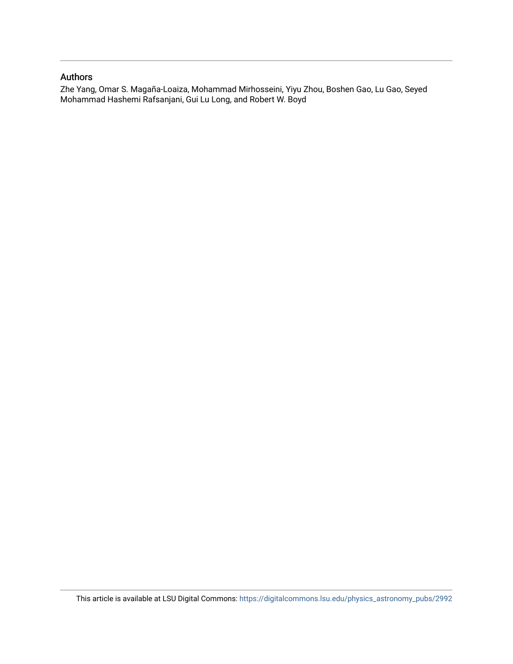## Authors

Zhe Yang, Omar S. Magaña-Loaiza, Mohammad Mirhosseini, Yiyu Zhou, Boshen Gao, Lu Gao, Seyed Mohammad Hashemi Rafsanjani, Gui Lu Long, and Robert W. Boyd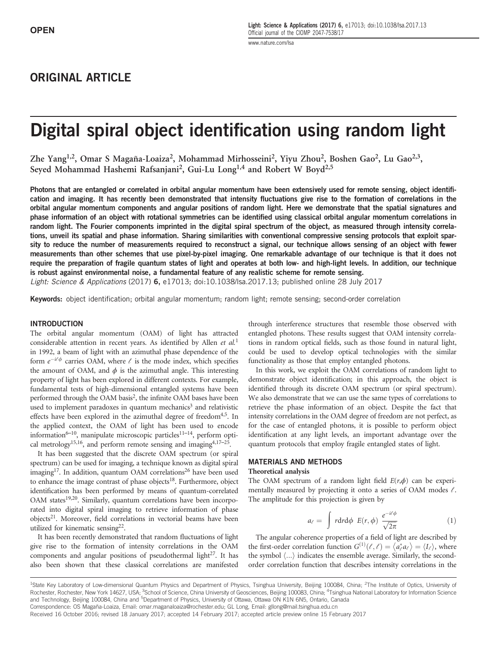# ORIGINAL ARTICLE

# Digital spiral object identification using random light

Zhe Yang<sup>1,2</sup>, Omar S Magaña-Loaiza<sup>2</sup>, Mohammad Mirhosseini<sup>2</sup>, Yiyu Zhou<sup>2</sup>, Boshen Gao<sup>2</sup>, Lu Gao<sup>2,3</sup>, Seyed Mohammad Hashemi Rafsanjani<sup>2</sup>, Gui-Lu Long<sup>1,4</sup> and Robert W Boyd<sup>2,5</sup>

Photons that are entangled or correlated in orbital angular momentum have been extensively used for remote sensing, object identification and imaging. It has recently been demonstrated that intensity fluctuations give rise to the formation of correlations in the orbital angular momentum components and angular positions of random light. Here we demonstrate that the spatial signatures and phase information of an object with rotational symmetries can be identified using classical orbital angular momentum correlations in random light. The Fourier components imprinted in the digital spiral spectrum of the object, as measured through intensity correlations, unveil its spatial and phase information. Sharing similarities with conventional compressive sensing protocols that exploit sparsity to reduce the number of measurements required to reconstruct a signal, our technique allows sensing of an object with fewer measurements than other schemes that use pixel-by-pixel imaging. One remarkable advantage of our technique is that it does not require the preparation of fragile quantum states of light and operates at both low- and high-light levels. In addition, our technique is robust against environmental noise, a fundamental feature of any realistic scheme for remote sensing.

Light: Science & Applications (2017) 6, e17013; doi:10.1038/lsa.2017.13; published online 28 July 2017

Keywords: object identification; orbital angular momentum; random light; remote sensing; second-order correlation

#### INTRODUCTION

The orbital angular momentum (OAM) of light has attracted considerable attention in recent years. As identified by Allen et  $al$ <sup>1</sup> in 1992, a beam of light with an azimuthal phase dependence of the form  $e^{-i\ell\phi}$  carries OAM, where  $\ell$  is the mode index, which specifies the amount of OAM, and  $\phi$  is the azimuthal angle. This interesting property of light has been explored in different contexts. For example, fundamental tests of high-dimensional entangled systems have been performed through the OAM basis<sup>2</sup>, the infinite OAM bases have been used to implement paradoxes in quantum mechanics<sup>3</sup> and relativistic effects have been explored in the azimuthal degree of freedom<sup>4,5</sup>. In the applied context, the OAM of light has been used to encode information<sup>6–10</sup>, manipulate microscopic particles<sup>11–14</sup>, perform optical metrology<sup>15,16</sup>, and perform remote sensing and imaging<sup>4,17–25</sup>.

It has been suggested that the discrete OAM spectrum (or spiral spectrum) can be used for imaging, a technique known as digital spiral imaging<sup>17</sup>. In addition, quantum OAM correlations<sup>26</sup> have been used to enhance the image contrast of phase objects<sup>18</sup>. Furthermore, object identification has been performed by means of quantum-correlated OAM states<sup>19,20</sup>. Similarly, quantum correlations have been incorporated into digital spiral imaging to retrieve information of phase objects<sup>21</sup>. Moreover, field correlations in vectorial beams have been utilized for kinematic sensing<sup>22</sup>.

It has been recently demonstrated that random fluctuations of light give rise to the formation of intensity correlations in the OAM components and angular positions of pseudothermal light $^{27}$ . It has also been shown that these classical correlations are manifested

through interference structures that resemble those observed with entangled photons. These results suggest that OAM intensity correlations in random optical fields, such as those found in natural light, could be used to develop optical technologies with the similar functionality as those that employ entangled photons.

In this work, we exploit the OAM correlations of random light to demonstrate object identification; in this approach, the object is identified through its discrete OAM spectrum (or spiral spectrum). We also demonstrate that we can use the same types of correlations to retrieve the phase information of an object. Despite the fact that intensity correlations in the OAM degree of freedom are not perfect, as for the case of entangled photons, it is possible to perform object identification at any light levels, an important advantage over the quantum protocols that employ fragile entangled states of light.

#### MATERIALS AND METHODS

#### Theoretical analysis

The OAM spectrum of a random light field  $E(r, \phi)$  can be experimentally measured by projecting it onto a series of OAM modes  $\ell$ . The amplitude for this projection is given by

$$
a_{\ell} = \int r dr d\phi \ E(r,\phi) \ \frac{e^{-i\ell\phi}}{\sqrt{2\pi}} \tag{1}
$$

The angular coherence properties of a field of light are described by the first-order correlation function  $G^{(1)}(\ell, \ell) = \langle a_{\ell}^{*} a_{\ell} \rangle = \langle I_{\ell} \rangle$ , where the first-order correlation function  $G^{(x)}(t, t) = \langle u_{\ell} u_{\ell} \rangle = \langle I_{\ell} \rangle$ , where<br>the symbol  $\langle ... \rangle$  indicates the ensemble average. Similarly, the secondorder correlation function that describes intensity correlations in the

<sup>&</sup>lt;sup>1</sup>State Key Laboratory of Low-dimensional Quantum Physics and Department of Physics, Tsinghua University, Beijing 100084, China; <sup>2</sup>The Institute of Optics, University of Rochester, Rochester, New York 14627, USA; <sup>3</sup>School of Science, China University of Geosciences, Beijing 100083, China; <sup>4</sup>Tsinghua National Laboratory for Information Science and Technology, Beijing 100084, China and <sup>5</sup>Department of Physics, University of Ottawa, Ottawa ON K1N 6N5, Ontario, Canada Correspondence: OS Magaña-Loaiza, Email: omar.maganaloaiza@rochester.edu; GL Long, Email: gllong@mail.tsinghua.edu.cn

Received 16 October 2016; revised 18 January 2017; accepted 14 February 2017; accepted article preview online 15 February 2017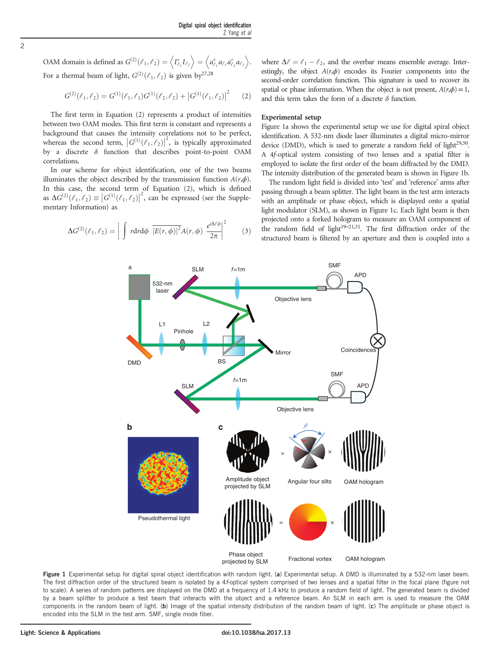OAM domain is defined as  $G^{(2)}(\ell_1, \ell_2) = \left\langle I_{\ell_1}^* I_{\ell_2} \right\rangle = \left\langle a_{\ell_1}^* a_{\ell_1} a_{\ell_2}^* a_{\ell_2} \right\rangle$ . For a thermal beam of light,  $G^{(2)}(\ell_1, \ell_2)$  is given by  $2^{7,28}$ 

$$
G^{(2)}(\ell_1,\ell_2) = G^{(1)}(\ell_1,\ell_1)G^{(1)}(\ell_2,\ell_2) + |G^{(1)}(\ell_1,\ell_2)|^2 \qquad (2)
$$

The first term in Equation (2) represents a product of intensities between two OAM modes. This first term is constant and represents a background that causes the intensity correlations not to be perfect, whereas the second term,  $|G^{(1)}(\ell_1,\ell_2)|^2$ , is typically approximated<br>by a discrete  $\delta$  function that describes point-to-point OAM by a discrete  $\delta$  function that describes point-to-point OAM correlations.

In our scheme for object identification, one of the two beams illuminates the object described by the transmission function  $A(r,\phi)$ . In this case, the second term of Equation (2), which is defined as  $\Delta G^{(2)}(\ell_1, \ell_2) \equiv |G^{(1)}(\ell_1, \ell_2)|^2$ , can be expressed (see the Supplementary Information) as

 $\Delta G^{(2)}(\ell_1,\ell_2) = \bigg|\int r\mathrm{d}r\mathrm{d}\phi\ \overline{\left|E(r,\phi)\right|^2}A(r,\phi)\ \frac{e^{i\Delta\ell\phi}}{2\pi}$ 

 $\begin{array}{c} \begin{array}{c} \begin{array}{c} \begin{array}{c} \end{array} \\ \begin{array}{c} \end{array} \end{array} \end{array} \end{array}$ 

where 
$$
\Delta \ell = \ell_1 - \ell_2
$$
, and the overbar means ensemble average. Inter-  
estingly, the object  $A(r,\phi)$  encodes its Fourier components into the  
second-order correlation function. This signature is used to recover its  
spatial or phase information. When the object is not present,  $A(r,\phi) = 1$ ,  
and this term takes the form of a discrete  $\delta$  function.

#### Experimental setup

Figure 1a shows the experimental setup we use for digital spiral object identification. A 532-nm diode laser illuminates a digital micro-mirror device (DMD), which is used to generate a random field of light $2^{9,30}$ . A 4f-optical system consisting of two lenses and a spatial filter is employed to isolate the first order of the beam diffracted by the DMD. The intensity distribution of the generated beam is shown in Figure 1b.

The random light field is divided into 'test' and 'reference' arms after passing through a beam splitter. The light beam in the test arm interacts with an amplitude or phase object, which is displayed onto a spatial light modulator (SLM), as shown in Figure 1c. Each light beam is then projected onto a forked hologram to measure an OAM component of the random field of light $19-21,31$ . The first diffraction order of the structured beam is filtered by an aperture and then is coupled into a



 $\begin{array}{c} \begin{array}{c} \begin{array}{c} \end{array} \\ \begin{array}{c} \end{array} \end{array} \end{array}$ 2

a SIM f=1m SMF

 $(3)$ 

Pseudothermal light

Phase object<br>piected by SLM Fractional vortex OAM hologram projected by SLM

= ×

Figure 1 Experimental setup for digital spiral object identification with random light. (a) Experimental setup. A DMD is illuminated by a 532-nm laser beam. The first diffraction order of the structured beam is isolated by a 4f-optical system comprised of two lenses and a spatial filter in the focal plane (figure not to scale). A series of random patterns are displayed on the DMD at a frequency of 1.4 kHz to produce a random field of light. The generated beam is divided by a beam splitter to produce a test beam that interacts with the object and a reference beam. An SLM in each arm is used to measure the OAM components in the random beam of light. (b) Image of the spatial intensity distribution of the random beam of light. (c) The amplitude or phase object is encoded into the SLM in the test arm. SMF, single mode fiber.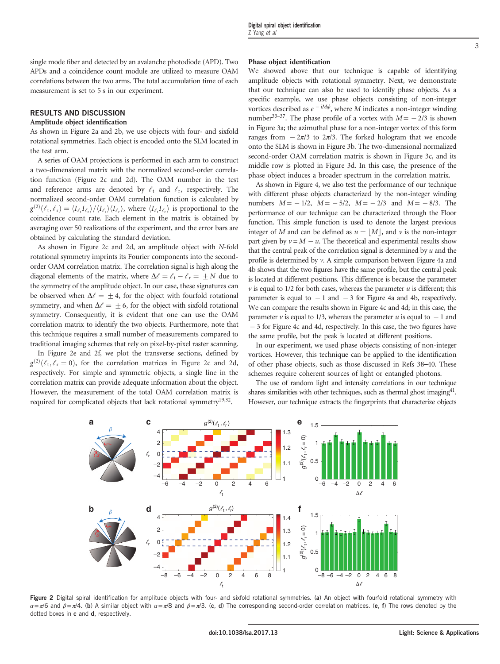### RESULTS AND DISCUSSION

#### Amplitude object identification

As shown in Figure 2a and 2b, we use objects with four- and sixfold rotational symmetries. Each object is encoded onto the SLM located in the test arm.

A series of OAM projections is performed in each arm to construct a two-dimensional matrix with the normalized second-order correlation function (Figure 2c and 2d). The OAM number in the test and reference arms are denoted by  $\ell_t$  and  $\ell_r$ , respectively. The normalized second-order OAM correlation function is calculated by  $g^{(2)}(\ell_t, \ell_r) = \langle I_{\ell_t} I_{\ell_t} \rangle / \langle I_{\ell_t} \rangle$ , where  $\langle I_{\ell_t} I_{\ell_t} \rangle$  is proportional to the coincidence count rate. Each element in the metrix is obtained by coincidence count rate. Each element in the matrix is obtained by averaging over 50 realizations of the experiment, and the error bars are obtained by calculating the standard deviation.

As shown in Figure 2c and 2d, an amplitude object with N-fold rotational symmetry imprints its Fourier components into the secondorder OAM correlation matrix. The correlation signal is high along the diagonal elements of the matrix, where  $\Delta \ell = \ell_{\rm t} - \ell_{\rm r} = \pm N$  due to the symmetry of the amplitude object. In our case, these signatures can be observed when  $\Delta \ell = \pm 4$ , for the object with fourfold rotational symmetry, and when  $\Delta \ell = \pm 6$ , for the object with sixfold rotational symmetry. Consequently, it is evident that one can use the OAM correlation matrix to identify the two objects. Furthermore, note that this technique requires a small number of measurements compared to traditional imaging schemes that rely on pixel-by-pixel raster scanning.

In Figure 2e and 2f, we plot the transverse sections, defined by  $g^{(2)}(\ell_t, \ell_r = 0)$ , for the correlation matrices in Figure 2c and 2d, reconcitively. For simple and summatric objects a single line in the respectively. For simple and symmetric objects, a single line in the correlation matrix can provide adequate information about the object. However, the measurement of the total OAM correlation matrix is required for complicated objects that lack rotational symmetry<sup>19,32</sup>.

#### Phase object identification

We showed above that our technique is capable of identifying amplitude objects with rotational symmetry. Next, we demonstrate that our technique can also be used to identify phase objects. As a specific example, we use phase objects consisting of non-integer vortices described as  $e^{-iM\phi}$ , where M indicates a non-integer winding number<sup>33–37</sup>. The phase profile of a vortex with  $M = -2/3$  is shown in Figure 3a; the azimuthal phase for a non-integer vortex of this form ranges from  $-2\pi/3$  to  $2\pi/3$ . The forked hologram that we encode onto the SLM is shown in Figure 3b. The two-dimensional normalized second-order OAM correlation matrix is shown in Figure 3c, and its middle row is plotted in Figure 3d. In this case, the presence of the phase object induces a broader spectrum in the correlation matrix.

As shown in Figure 4, we also test the performance of our technique with different phase objects characterized by the non-integer winding numbers  $M = -1/2$ ,  $M = -5/2$ ,  $M = -2/3$  and  $M = -8/3$ . The performance of our technique can be characterized through the Floor function. This simple function is used to denote the largest previous integer of M and can be defined as  $u = |M|$ , and v is the non-integer part given by  $v = M - u$ . The theoretical and experimental results show that the central peak of the correlation signal is determined by  $u$  and the profile is determined by v. A simple comparison between Figure 4a and 4b shows that the two figures have the same profile, but the central peak is located at different positions. This difference is because the parameter  $\nu$  is equal to 1/2 for both cases, whereas the parameter  $u$  is different; this parameter is equal to  $-1$  and  $-3$  for Figure 4a and 4b, respectively. We can compare the results shown in Figure 4c and 4d; in this case, the parameter  $\nu$  is equal to 1/3, whereas the parameter  $u$  is equal to  $-1$  and  $-3$  for Figure 4c and 4d, respectively. In this case, the two figures have the same profile, but the peak is located at different positions.

In our experiment, we used phase objects consisting of non-integer vortices. However, this technique can be applied to the identification of other phase objects, such as those discussed in Refs 38–40. These schemes require coherent sources of light or entangled photons.

The use of random light and intensity correlations in our technique shares similarities with other techniques, such as thermal ghost imaging $4^1$ . However, our technique extracts the fingerprints that characterize objects



Figure 2 Digital spiral identification for amplitude objects with four- and sixfold rotational symmetries. (a) An object with fourfold rotational symmetry with  $\alpha = \pi/6$  and  $\beta = \pi/4$ . (b) A similar object with  $\alpha = \pi/8$  and  $\beta = \pi/3$ . (c, d) The corresponding second-order correlation matrices. (e, f) The rows denoted by the dotted boxes in c and d, respectively.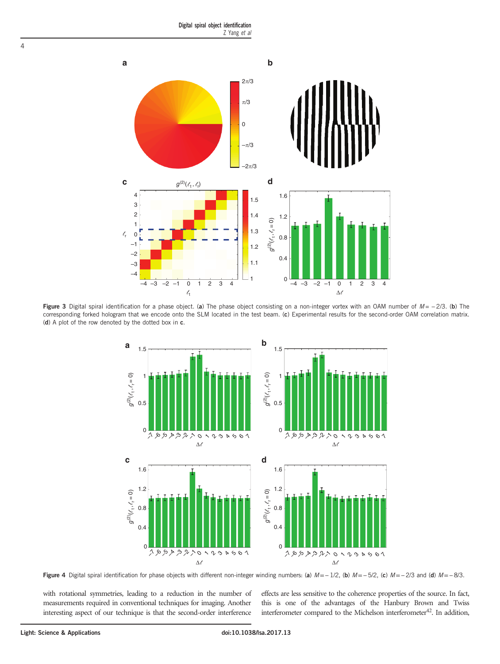

Figure 3 Digital spiral identification for a phase object. (a) The phase object consisting on a non-integer vortex with an OAM number of  $M = -2/3$ . (b) The corresponding forked hologram that we encode onto the SLM located in the test beam. (c) Experimental results for the second-order OAM correlation matrix. (d) A plot of the row denoted by the dotted box in c.



Figure 4 Digital spiral identification for phase objects with different non-integer winding numbers: (a)  $M = -1/2$ , (b)  $M = -5/2$ , (c)  $M = -2/3$  and (d)  $M = -8/3$ .

with rotational symmetries, leading to a reduction in the number of measurements required in conventional techniques for imaging. Another interesting aspect of our technique is that the second-order interference

effects are less sensitive to the coherence properties of the source. In fact, this is one of the advantages of the Hanbury Brown and Twiss interferometer compared to the Michelson interferometer $42$ . In addition,

4